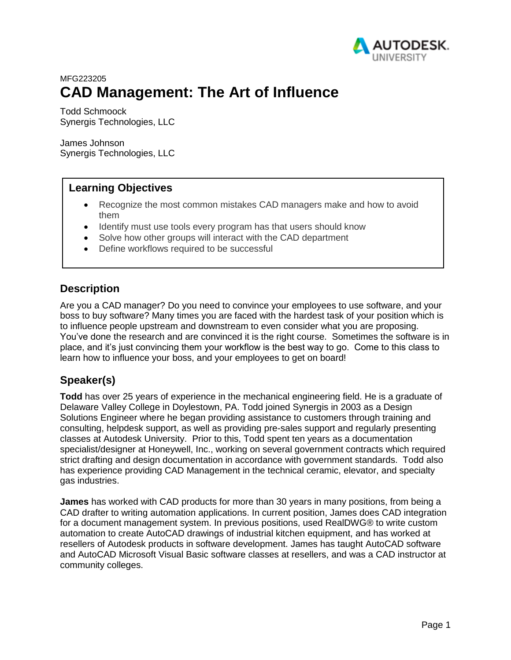

# <span id="page-0-0"></span>MFG223205 **CAD Management: The Art of Influence**

Todd Schmoock Synergis Technologies, LLC

James Johnson Synergis Technologies, LLC

# **Learning Objectives**

- Recognize the most common mistakes CAD managers make and how to avoid them
- Identify must use tools every program has that users should know
- Solve how other groups will interact with the CAD department
- Define workflows required to be successful

## **Description**

Are you a CAD manager? Do you need to convince your employees to use software, and your boss to buy software? Many times you are faced with the hardest task of your position which is to influence people upstream and downstream to even consider what you are proposing. You've done the research and are convinced it is the right course. Sometimes the software is in place, and it's just convincing them your workflow is the best way to go. Come to this class to learn how to influence your boss, and your employees to get on board!

## **Speaker(s)**

**Todd** has over 25 years of experience in the mechanical engineering field. He is a graduate of Delaware Valley College in Doylestown, PA. Todd joined Synergis in 2003 as a Design Solutions Engineer where he began providing assistance to customers through training and consulting, helpdesk support, as well as providing pre-sales support and regularly presenting classes at Autodesk University. Prior to this, Todd spent ten years as a documentation specialist/designer at Honeywell, Inc., working on several government contracts which required strict drafting and design documentation in accordance with government standards. Todd also has experience providing CAD Management in the technical ceramic, elevator, and specialty gas industries.

**James** has worked with CAD products for more than 30 years in many positions, from being a CAD drafter to writing automation applications. In current position, James does CAD integration for a document management system. In previous positions, used RealDWG® to write custom automation to create AutoCAD drawings of industrial kitchen equipment, and has worked at resellers of Autodesk products in software development. James has taught AutoCAD software and AutoCAD Microsoft Visual Basic software classes at resellers, and was a CAD instructor at community colleges.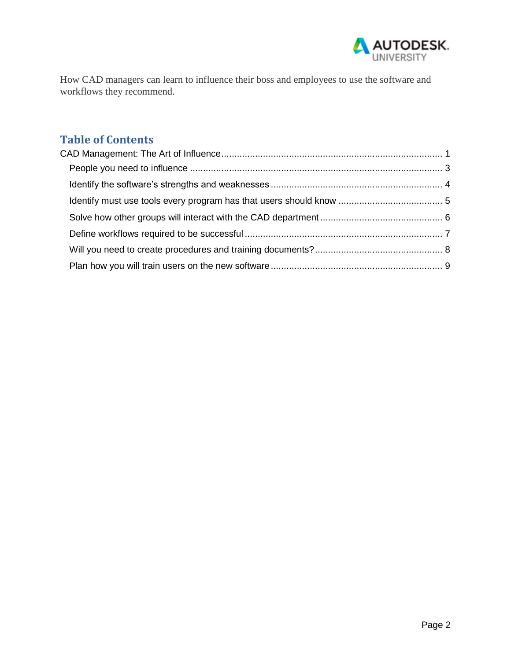

How CAD managers can learn to influence their boss and employees to use the software and workflows they recommend.

# **Table of Contents**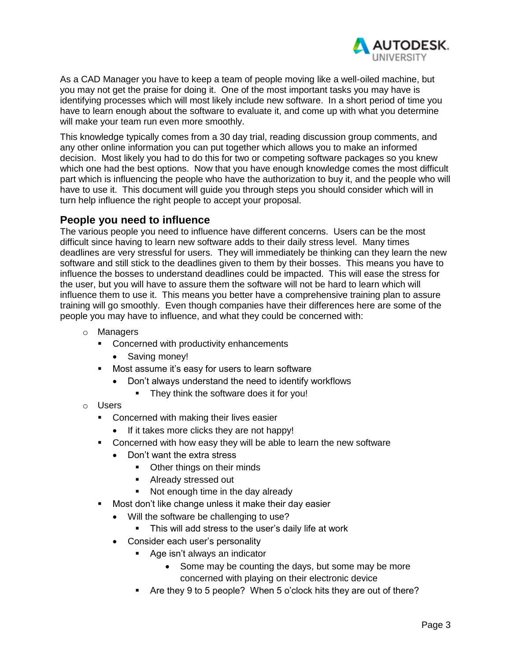

As a CAD Manager you have to keep a team of people moving like a well-oiled machine, but you may not get the praise for doing it. One of the most important tasks you may have is identifying processes which will most likely include new software. In a short period of time you have to learn enough about the software to evaluate it, and come up with what you determine will make your team run even more smoothly.

This knowledge typically comes from a 30 day trial, reading discussion group comments, and any other online information you can put together which allows you to make an informed decision. Most likely you had to do this for two or competing software packages so you knew which one had the best options. Now that you have enough knowledge comes the most difficult part which is influencing the people who have the authorization to buy it, and the people who will have to use it. This document will guide you through steps you should consider which will in turn help influence the right people to accept your proposal.

#### <span id="page-2-0"></span>**People you need to influence**

The various people you need to influence have different concerns. Users can be the most difficult since having to learn new software adds to their daily stress level. Many times deadlines are very stressful for users. They will immediately be thinking can they learn the new software and still stick to the deadlines given to them by their bosses. This means you have to influence the bosses to understand deadlines could be impacted. This will ease the stress for the user, but you will have to assure them the software will not be hard to learn which will influence them to use it. This means you better have a comprehensive training plan to assure training will go smoothly. Even though companies have their differences here are some of the people you may have to influence, and what they could be concerned with:

- o Managers
	- **•** Concerned with productivity enhancements
		- Saving money!
	- **Most assume it's easy for users to learn software** 
		- Don't always understand the need to identify workflows
			- **They think the software does it for you!**
- o Users
	- **Concerned with making their lives easier** 
		- If it takes more clicks they are not happy!
	- **Concerned with how easy they will be able to learn the new software** 
		- Don't want the extra stress
			- Other things on their minds
			- **Already stressed out**
			- Not enough time in the day already
	- **Most don't like change unless it make their day easier** 
		- Will the software be challenging to use?
			- **This will add stress to the user's daily life at work**
		- Consider each user's personality
			- Age isn't always an indicator
				- Some may be counting the days, but some may be more concerned with playing on their electronic device
			- Are they 9 to 5 people? When 5 o'clock hits they are out of there?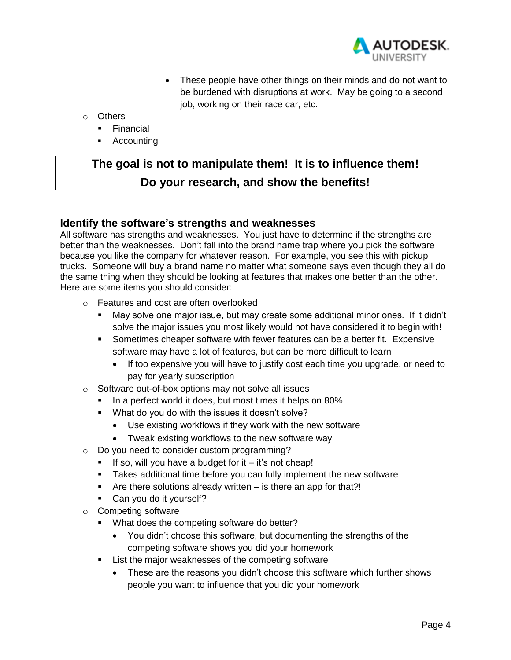

- These people have other things on their minds and do not want to be burdened with disruptions at work. May be going to a second job, working on their race car, etc.
- o Others
	- **Financial**
	- **Accounting**

# **The goal is not to manipulate them! It is to influence them! Do your research, and show the benefits!**

#### <span id="page-3-0"></span>**Identify the software's strengths and weaknesses**

All software has strengths and weaknesses. You just have to determine if the strengths are better than the weaknesses. Don't fall into the brand name trap where you pick the software because you like the company for whatever reason. For example, you see this with pickup trucks. Someone will buy a brand name no matter what someone says even though they all do the same thing when they should be looking at features that makes one better than the other. Here are some items you should consider:

- o Features and cost are often overlooked
	- May solve one major issue, but may create some additional minor ones. If it didn't solve the major issues you most likely would not have considered it to begin with!
	- **Sometimes cheaper software with fewer features can be a better fit. Expensive** software may have a lot of features, but can be more difficult to learn
		- If too expensive you will have to justify cost each time you upgrade, or need to pay for yearly subscription
- o Software out-of-box options may not solve all issues
	- In a perfect world it does, but most times it helps on 80%
	- **What do you do with the issues it doesn't solve?** 
		- Use existing workflows if they work with the new software
		- Tweak existing workflows to the new software way
- o Do you need to consider custom programming?
	- If so, will you have a budget for it  $-$  it's not cheap!
	- **Takes additional time before you can fully implement the new software**
	- Are there solutions already written  $-$  is there an app for that?!
	- Can you do it yourself?
- o Competing software
	- **What does the competing software do better?** 
		- You didn't choose this software, but documenting the strengths of the competing software shows you did your homework
	- **EXECT:** List the major weaknesses of the competing software
		- These are the reasons you didn't choose this software which further shows people you want to influence that you did your homework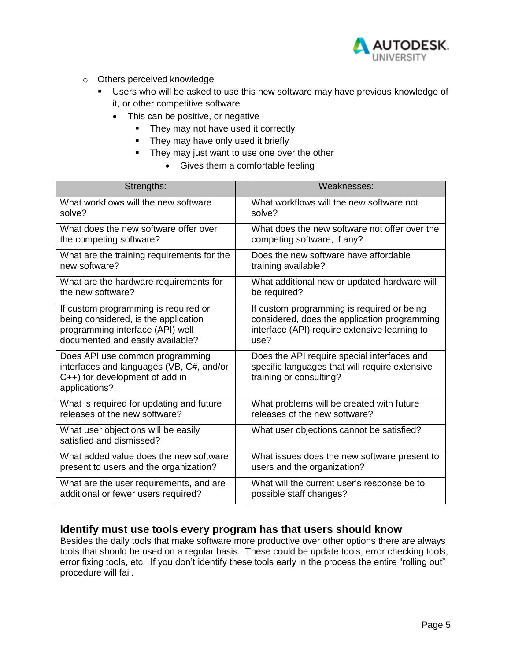

- o Others perceived knowledge
	- Users who will be asked to use this new software may have previous knowledge of it, or other competitive software
		- This can be positive, or negative
			- They may not have used it correctly
			- They may have only used it briefly
			- They may just want to use one over the other
				- Gives them a comfortable feeling

| Strengths:                                                                                                                                           | Weaknesses:                                                                                                                                         |
|------------------------------------------------------------------------------------------------------------------------------------------------------|-----------------------------------------------------------------------------------------------------------------------------------------------------|
| What workflows will the new software<br>solve?                                                                                                       | What workflows will the new software not<br>solve?                                                                                                  |
| What does the new software offer over<br>the competing software?                                                                                     | What does the new software not offer over the<br>competing software, if any?                                                                        |
| What are the training requirements for the<br>new software?                                                                                          | Does the new software have affordable<br>training available?                                                                                        |
| What are the hardware requirements for<br>the new software?                                                                                          | What additional new or updated hardware will<br>be required?                                                                                        |
| If custom programming is required or<br>being considered, is the application<br>programming interface (API) well<br>documented and easily available? | If custom programming is required or being<br>considered, does the application programming<br>interface (API) require extensive learning to<br>use? |
| Does API use common programming<br>interfaces and languages (VB, C#, and/or<br>C++) for development of add in<br>applications?                       | Does the API require special interfaces and<br>specific languages that will require extensive<br>training or consulting?                            |
| What is required for updating and future<br>releases of the new software?                                                                            | What problems will be created with future<br>releases of the new software?                                                                          |
| What user objections will be easily<br>satisfied and dismissed?                                                                                      | What user objections cannot be satisfied?                                                                                                           |
| What added value does the new software<br>present to users and the organization?                                                                     | What issues does the new software present to<br>users and the organization?                                                                         |
| What are the user requirements, and are<br>additional or fewer users required?                                                                       | What will the current user's response be to<br>possible staff changes?                                                                              |

#### <span id="page-4-0"></span>**Identify must use tools every program has that users should know**

Besides the daily tools that make software more productive over other options there are always tools that should be used on a regular basis. These could be update tools, error checking tools, error fixing tools, etc. If you don't identify these tools early in the process the entire "rolling out" procedure will fail.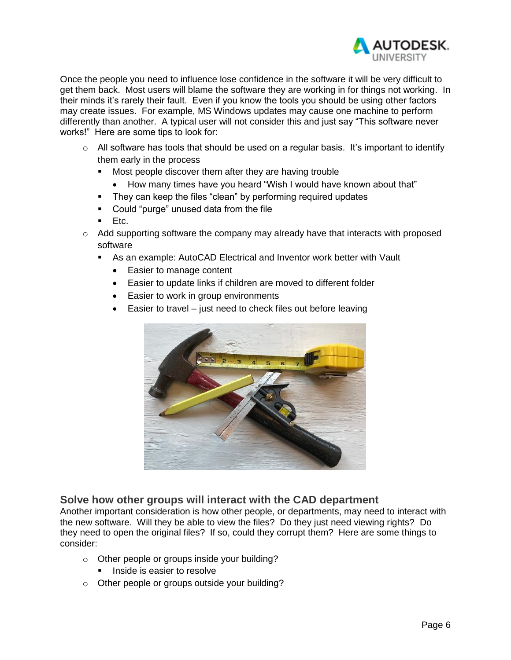

Once the people you need to influence lose confidence in the software it will be very difficult to get them back. Most users will blame the software they are working in for things not working. In their minds it's rarely their fault. Even if you know the tools you should be using other factors may create issues. For example, MS Windows updates may cause one machine to perform differently than another. A typical user will not consider this and just say "This software never works!" Here are some tips to look for:

- $\circ$  All software has tools that should be used on a regular basis. It's important to identify them early in the process
	- Most people discover them after they are having trouble
		- How many times have you heard "Wish I would have known about that"
	- **They can keep the files "clean" by performing required updates**
	- Could "purge" unused data from the file
	- Etc.
- $\circ$  Add supporting software the company may already have that interacts with proposed software
	- As an example: AutoCAD Electrical and Inventor work better with Vault
		- Easier to manage content
		- Easier to update links if children are moved to different folder
		- Easier to work in group environments
		- Easier to travel just need to check files out before leaving



#### <span id="page-5-0"></span>**Solve how other groups will interact with the CAD department**

Another important consideration is how other people, or departments, may need to interact with the new software. Will they be able to view the files? Do they just need viewing rights? Do they need to open the original files? If so, could they corrupt them? Here are some things to consider:

- o Other people or groups inside your building?
	- **Inside is easier to resolve**
- o Other people or groups outside your building?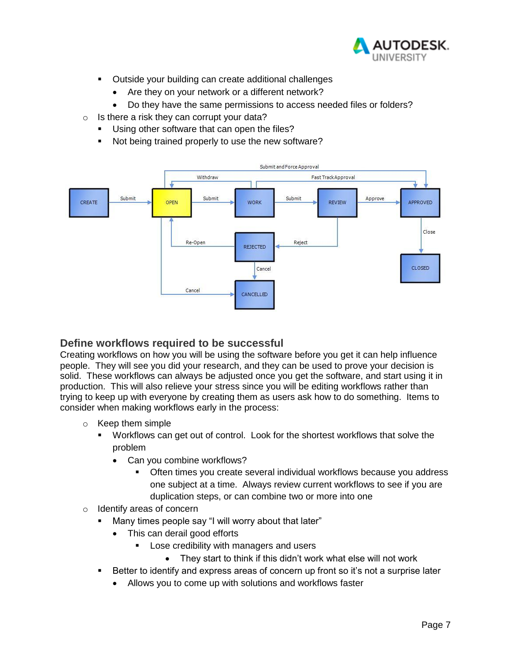

- **•** Outside your building can create additional challenges
	- Are they on your network or a different network?
	- Do they have the same permissions to access needed files or folders?
- o Is there a risk they can corrupt your data?
	- Using other software that can open the files?
	- Not being trained properly to use the new software?



#### <span id="page-6-0"></span>**Define workflows required to be successful**

Creating workflows on how you will be using the software before you get it can help influence people. They will see you did your research, and they can be used to prove your decision is solid. These workflows can always be adjusted once you get the software, and start using it in production. This will also relieve your stress since you will be editing workflows rather than trying to keep up with everyone by creating them as users ask how to do something. Items to consider when making workflows early in the process:

- o Keep them simple
	- Workflows can get out of control. Look for the shortest workflows that solve the problem
		- Can you combine workflows?
			- Often times you create several individual workflows because you address one subject at a time. Always review current workflows to see if you are duplication steps, or can combine two or more into one
- o Identify areas of concern
	- Many times people say "I will worry about that later"
		- This can derail good efforts
			- Lose credibility with managers and users
				- They start to think if this didn't work what else will not work
	- Better to identify and express areas of concern up front so it's not a surprise later
		- Allows you to come up with solutions and workflows faster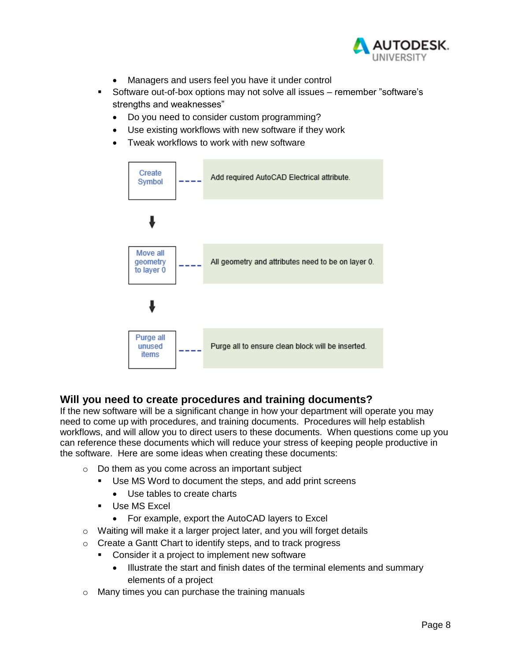

- Managers and users feel you have it under control
- Software out-of-box options may not solve all issues remember "software's strengths and weaknesses"
	- Do you need to consider custom programming?
	- Use existing workflows with new software if they work
	- Tweak workflows to work with new software



## <span id="page-7-0"></span>**Will you need to create procedures and training documents?**

If the new software will be a significant change in how your department will operate you may need to come up with procedures, and training documents. Procedures will help establish workflows, and will allow you to direct users to these documents. When questions come up you can reference these documents which will reduce your stress of keeping people productive in the software. Here are some ideas when creating these documents:

- o Do them as you come across an important subject
	- Use MS Word to document the steps, and add print screens
		- Use tables to create charts
	- **Use MS Excel** 
		- For example, export the AutoCAD layers to Excel
- o Waiting will make it a larger project later, and you will forget details
- o Create a Gantt Chart to identify steps, and to track progress
	- Consider it a project to implement new software
		- Illustrate the start and finish dates of the terminal elements and summary elements of a project
- o Many times you can purchase the training manuals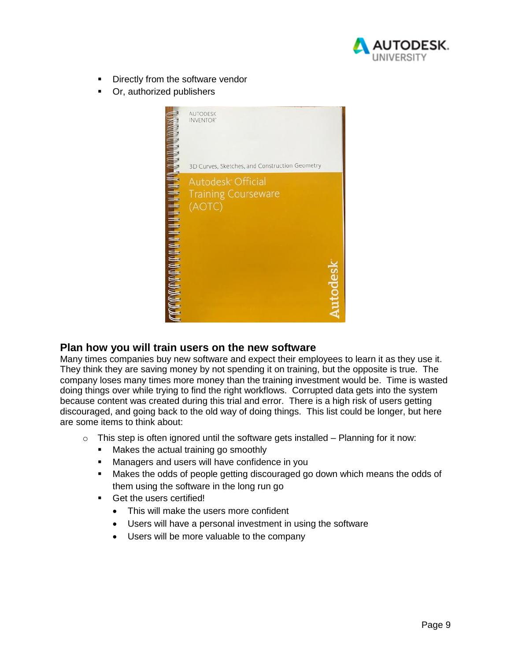

- **Directly from the software vendor**
- Or, authorized publishers



#### <span id="page-8-0"></span>**Plan how you will train users on the new software**

Many times companies buy new software and expect their employees to learn it as they use it. They think they are saving money by not spending it on training, but the opposite is true. The company loses many times more money than the training investment would be. Time is wasted doing things over while trying to find the right workflows. Corrupted data gets into the system because content was created during this trial and error. There is a high risk of users getting discouraged, and going back to the old way of doing things. This list could be longer, but here are some items to think about:

- $\circ$  This step is often ignored until the software gets installed Planning for it now:
	- Makes the actual training go smoothly
	- **Managers and users will have confidence in you**
	- Makes the odds of people getting discouraged go down which means the odds of them using the software in the long run go
	- Get the users certified!
		- This will make the users more confident
		- Users will have a personal investment in using the software
		- Users will be more valuable to the company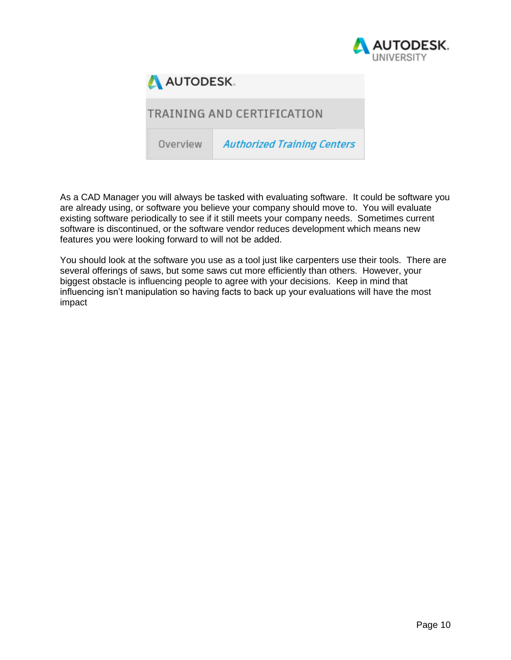



# TRAINING AND CERTIFICATION

Overview **Authorized Training Centers** 

As a CAD Manager you will always be tasked with evaluating software. It could be software you are already using, or software you believe your company should move to. You will evaluate existing software periodically to see if it still meets your company needs. Sometimes current software is discontinued, or the software vendor reduces development which means new features you were looking forward to will not be added.

You should look at the software you use as a tool just like carpenters use their tools. There are several offerings of saws, but some saws cut more efficiently than others. However, your biggest obstacle is influencing people to agree with your decisions. Keep in mind that influencing isn't manipulation so having facts to back up your evaluations will have the most impact